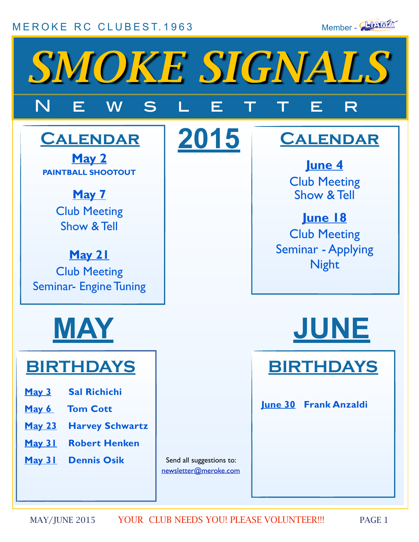### [MEROKE RC CLUB](http://www.meroke.com)EST.1963 Member - **INANXEN**





**2015**

# N E W S L E T T E R

### **Calendar**

**May 2 PAINTBALL SHOOTOUT**

> **May 7** Club Meeting Show & Tell

**May 21** Club Meeting Seminar- Engine Tuning



## **BIRTHDAYS**

- **May 3 Sal Richichi**
- **May 6 Tom Cott**
- **May 23 Harvey Schwartz**
- **May 31 Robert Henken**
- **May 31 Dennis Osik**

Send all suggestions to: [newsletter@meroke.com](mailto:newsletter@meroke.com)

### **Calendar**

**June 4** Club Meeting Show & Tell

**June 18**  Club Meeting Seminar - Applying Night





**June 30 Frank Anzaldi**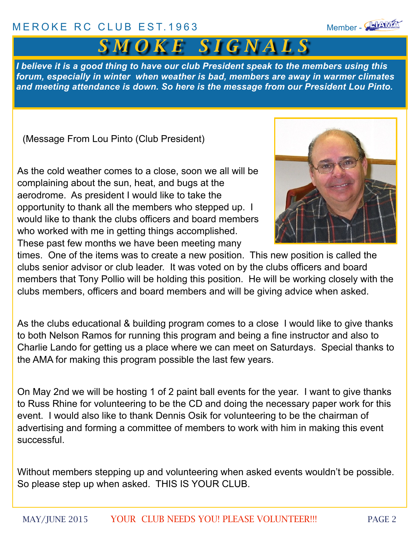### [MEROKE RC CLUB](http://www.meroke.com) EST.1963 Member - Nember - 1963



*I believe it is a good thing to have our club President speak to the members using this forum, especially in winter when weather is bad, members are away in warmer climates and meeting attendance is down. So here is the message from our President Lou Pinto.* 

(Message From Lou Pinto (Club President)

As the cold weather comes to a close, soon we all will be complaining about the sun, heat, and bugs at the aerodrome. As president I would like to take the opportunity to thank all the members who stepped up. I would like to thank the clubs officers and board members who worked with me in getting things accomplished. These past few months we have been meeting many



times. One of the items was to create a new position. This new position is called the clubs senior advisor or club leader. It was voted on by the clubs officers and board members that Tony Pollio will be holding this position. He will be working closely with the clubs members, officers and board members and will be giving advice when asked.

As the clubs educational & building program comes to a close I would like to give thanks to both Nelson Ramos for running this program and being a fine instructor and also to Charlie Lando for getting us a place where we can meet on Saturdays. Special thanks to the AMA for making this program possible the last few years.

On May 2nd we will be hosting 1 of 2 paint ball events for the year. I want to give thanks to Russ Rhine for volunteering to be the CD and doing the necessary paper work for this event. I would also like to thank Dennis Osik for volunteering to be the chairman of advertising and forming a committee of members to work with him in making this event successful.

Without members stepping up and volunteering when asked events wouldn't be possible. So please step up when asked. THIS IS YOUR CLUB.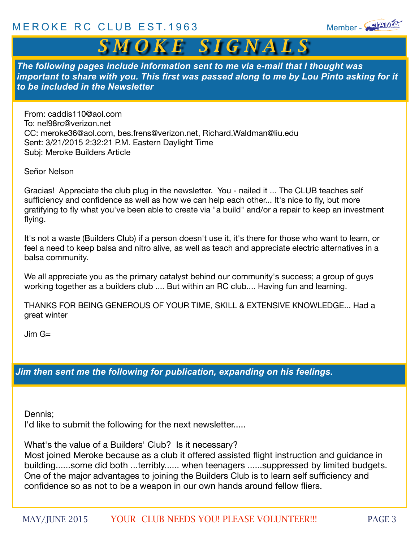

### *S M O K E S I G N A L S*

*The following pages include information sent to me via e-mail that I thought was important to share with you. This first was passed along to me by Lou Pinto asking for it to be included in the Newsletter*

From: caddis110@aol.com To: nel98rc@verizon.net CC: meroke36@aol.com, bes.frens@verizon.net, Richard.Waldman@liu.edu Sent: 3/21/2015 2:32:21 P.M. Eastern Daylight Time Subj: Meroke Builders Article

Señor Nelson

Gracias! Appreciate the club plug in the newsletter. You - nailed it ... The CLUB teaches self sufficiency and confidence as well as how we can help each other... It's nice to fly, but more gratifying to fly what you've been able to create via "a build" and/or a repair to keep an investment flying.

It's not a waste (Builders Club) if a person doesn't use it, it's there for those who want to learn, or feel a need to keep balsa and nitro alive, as well as teach and appreciate electric alternatives in a balsa community.

We all appreciate you as the primary catalyst behind our community's success; a group of guys working together as a builders club .... But within an RC club.... Having fun and learning.

THANKS FOR BEING GENEROUS OF YOUR TIME, SKILL & EXTENSIVE KNOWLEDGE... Had a great winter

 $\text{Jim } \text{G} =$ 

*Jim then sent me the following for publication, expanding on his feelings.*

Dennis;

I'd like to submit the following for the next newsletter.....

What's the value of a Builders' Club? Is it necessary?

Most joined Meroke because as a club it offered assisted flight instruction and guidance in building......some did both ...terribly...... when teenagers ......suppressed by limited budgets. One of the major advantages to joining the Builders Club is to learn self sufficiency and confidence so as not to be a weapon in our own hands around fellow fliers.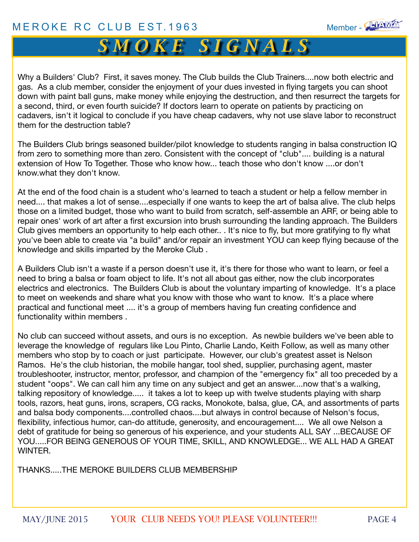

*S M O K E S I G N A L S*

Why a Builders' Club? First, it saves money. The Club builds the Club Trainers....now both electric and gas. As a club member, consider the enjoyment of your dues invested in flying targets you can shoot down with paint ball guns, make money while enjoying the destruction, and then resurrect the targets for a second, third, or even fourth suicide? If doctors learn to operate on patients by practicing on cadavers, isn't it logical to conclude if you have cheap cadavers, why not use slave labor to reconstruct them for the destruction table?

The Builders Club brings seasoned builder/pilot knowledge to students ranging in balsa construction IQ from zero to something more than zero. Consistent with the concept of "club".... building is a natural extension of How To Together. Those who know how... teach those who don't know ....or don't know.what they don't know.

At the end of the food chain is a student who's learned to teach a student or help a fellow member in need.... that makes a lot of sense....especially if one wants to keep the art of balsa alive. The club helps those on a limited budget, those who want to build from scratch, self-assemble an ARF, or being able to repair ones' work of art after a first excursion into brush surrounding the landing approach. The Builders Club gives members an opportunity to help each other.. . It's nice to fly, but more gratifying to fly what you've been able to create via "a build" and/or repair an investment YOU can keep flying because of the knowledge and skills imparted by the Meroke Club .

A Builders Club isn't a waste if a person doesn't use it, it's there for those who want to learn, or feel a need to bring a balsa or foam object to life. It's not all about gas either, now the club incorporates electrics and electronics. The Builders Club is about the voluntary imparting of knowledge. It's a place to meet on weekends and share what you know with those who want to know. It's a place where practical and functional meet .... it's a group of members having fun creating confidence and functionality within members .

No club can succeed without assets, and ours is no exception. As newbie builders we've been able to leverage the knowledge of regulars like Lou Pinto, Charlie Lando, Keith Follow, as well as many other members who stop by to coach or just participate. However, our club's greatest asset is Nelson Ramos. He's the club historian, the mobile hangar, tool shed, supplier, purchasing agent, master troubleshooter, instructor, mentor, professor, and champion of the "emergency fix" all too preceded by a student "oops". We can call him any time on any subject and get an answer....now that's a walking, talking repository of knowledge..... it takes a lot to keep up with twelve students playing with sharp tools, razors, heat guns, irons, scrapers, CG racks, Monokote, balsa, glue, CA, and assortments of parts and balsa body components....controlled chaos....but always in control because of Nelson's focus, flexibility, infectious humor, can-do attitude, generosity, and encouragement.... We all owe Nelson a debt of gratitude for being so generous of his experience, and your students ALL SAY ...BECAUSE OF YOU.....FOR BEING GENEROUS OF YOUR TIME, SKILL, AND KNOWLEDGE... WE ALL HAD A GREAT WINTER.

THANKS....THE MEROKE BUILDERS CLUB MEMBERSHIP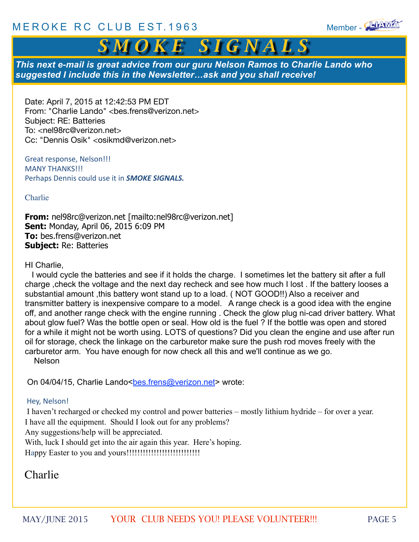

### *S M O K E S I G N A L S*

*This next e-mail is great advice from our guru Nelson Ramos to Charlie Lando who suggested I include this in the Newsletter…ask and you shall receive!*

Date: April 7, 2015 at 12:42:53 PM EDT From: "Charlie Lando" <bes.frens@verizon.net> Subject: RE: Batteries To: <nel98rc@verizon.net> Cc: "Dennis Osik" <osikmd@verizon.net>

Great response, Nelson!!! **MANY THANKS!!!** Perhaps Dennis could use it in **SMOKE SIGNALS.** 

Charlie

**From:** nel98rc@verizon.net [mailto:nel98rc@verizon.net] **Sent:** Monday, April 06, 2015 6:09 PM **To:** bes.frens@verizon.net **Subject:** Re: Batteries

#### HI Charlie,

 I would cycle the batteries and see if it holds the charge. I sometimes let the battery sit after a full charge ,check the voltage and the next day recheck and see how much I lost . If the battery looses a substantial amount ,this battery wont stand up to a load. ( NOT GOOD!!) Also a receiver and transmitter battery is inexpensive compare to a model. A range check is a good idea with the engine off, and another range check with the engine running . Check the glow plug ni-cad driver battery. What about glow fuel? Was the bottle open or seal. How old is the fuel ? If the bottle was open and stored for a while it might not be worth using. LOTS of questions? Did you clean the engine and use after run oil for storage, check the linkage on the carburetor make sure the push rod moves freely with the carburetor arm. You have enough for now check all this and we'll continue as we go. Nelson

On 04/04/15, Charlie Lando[<bes.frens@verizon.net](mailto:bes.frens@verizon.net)> wrote:

#### Hey, Nelson!

 I haven't recharged or checked my control and power batteries – mostly lithium hydride – for over a year. I have all the equipment. Should I look out for any problems?

Any suggestions/help will be appreciated.

With, luck I should get into the air again this year. Here's hoping. Happy Easter to you and yours!!!!!!!!!!!!!!!!!!!!!!!!!!!

#### Charlie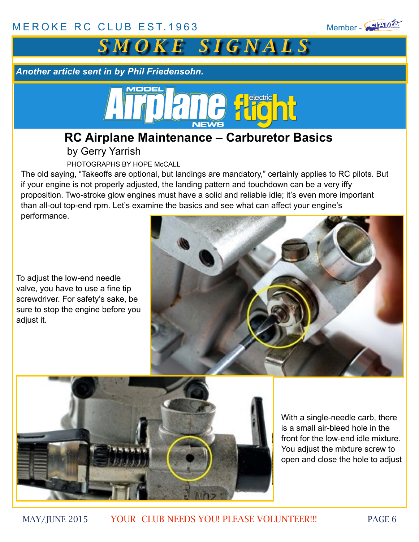



*Another article sent in by Phil Friedensohn.*

### **RC Airplane Maintenance – Carburetor Basics**

by Gerry Yarrish

PHOTOGRAPHS BY HOPE McCALL

The old saying, "Takeoffs are optional, but landings are mandatory," certainly applies to RC pilots. But if your engine is not properly adjusted, the landing pattern and touchdown can be a very iffy proposition. Two-stroke glow engines must have a solid and reliable idle; it's even more important than all-out top-end rpm. Let's examine the basics and see what can affect your engine's performance.

To adjust the low-end needle valve, you have to use a fine tip screwdriver. For safety's sake, be sure to stop the engine before you adjust it.





With a single-needle carb, there is a small air-bleed hole in the front for the low-end idle mixture. You adjust the mixture screw to open and close the hole to adjust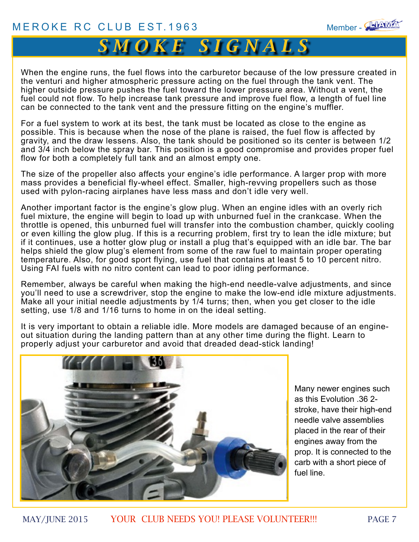

### $S\overline{M}$  *O*  $\overline{K}$   $\overline{E}$   $S$   $\overline{I}$   $\overline{G}$   $\overline{N}$   $\overline{A}$   $\overline{L}$   $S$

When the engine runs, the fuel flows into the carburetor because of the low pressure created in the venturi and higher atmospheric pressure acting on the fuel through the tank vent. The higher outside pressure pushes the fuel toward the lower pressure area. Without a vent, the fuel could not flow. To help increase tank pressure and improve fuel flow, a length of fuel line can be connected to the tank vent and the pressure fitting on the engine's muffler.

For a fuel system to work at its best, the tank must be located as close to the engine as possible. This is because when the nose of the plane is raised, the fuel flow is affected by gravity, and the draw lessens. Also, the tank should be positioned so its center is between 1/2 and 3/4 inch below the spray bar. This position is a good compromise and provides proper fuel flow for both a completely full tank and an almost empty one.

The size of the propeller also affects your engine's idle performance. A larger prop with more mass provides a beneficial fly-wheel effect. Smaller, high-revving propellers such as those used with pylon-racing airplanes have less mass and don't idle very well.

Another important factor is the engine's glow plug. When an engine idles with an overly rich fuel mixture, the engine will begin to load up with unburned fuel in the crankcase. When the throttle is opened, this unburned fuel will transfer into the combustion chamber, quickly cooling or even killing the glow plug. If this is a recurring problem, first try to lean the idle mixture; but if it continues, use a hotter glow plug or install a plug that's equipped with an idle bar. The bar helps shield the glow plug's element from some of the raw fuel to maintain proper operating temperature. Also, for good sport flying, use fuel that contains at least 5 to 10 percent nitro. Using FAI fuels with no nitro content can lead to poor idling performance.

Remember, always be careful when making the high-end needle-valve adjustments, and since you'll need to use a screwdriver, stop the engine to make the low-end idle mixture adjustments. Make all your initial needle adjustments by 1/4 turns; then, when you get closer to the idle setting, use 1/8 and 1/16 turns to home in on the ideal setting.

It is very important to obtain a reliable idle. More models are damaged because of an engineout situation during the landing pattern than at any other time during the flight. Learn to properly adjust your carburetor and avoid that dreaded dead-stick landing!



Many newer engines such as this Evolution .36 2 stroke, have their high-end needle valve assemblies placed in the rear of their engines away from the prop. It is connected to the carb with a short piece of fuel line.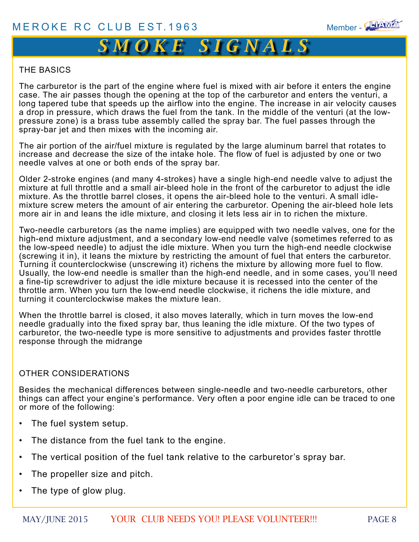

### $S\overline{M\,O\,K\,E\,}\,$   $S\overline{I\,G\,N\,A\,L\,S\,I}$

#### THE BASICS

The carburetor is the part of the engine where fuel is mixed with air before it enters the engine case. The air passes though the opening at the top of the carburetor and enters the venturi, a long tapered tube that speeds up the airflow into the engine. The increase in air velocity causes a drop in pressure, which draws the fuel from the tank. In the middle of the venturi (at the lowpressure zone) is a brass tube assembly called the spray bar. The fuel passes through the spray-bar jet and then mixes with the incoming air.

The air portion of the air/fuel mixture is regulated by the large aluminum barrel that rotates to increase and decrease the size of the intake hole. The flow of fuel is adjusted by one or two needle valves at one or both ends of the spray bar.

Older 2-stroke engines (and many 4-strokes) have a single high-end needle valve to adjust the mixture at full throttle and a small air-bleed hole in the front of the carburetor to adjust the idle mixture. As the throttle barrel closes, it opens the air-bleed hole to the venturi. A small idlemixture screw meters the amount of air entering the carburetor. Opening the air-bleed hole lets more air in and leans the idle mixture, and closing it lets less air in to richen the mixture.

Two-needle carburetors (as the name implies) are equipped with two needle valves, one for the high-end mixture adjustment, and a secondary low-end needle valve (sometimes referred to as the low-speed needle) to adjust the idle mixture. When you turn the high-end needle clockwise (screwing it in), it leans the mixture by restricting the amount of fuel that enters the carburetor. Turning it counterclockwise (unscrewing it) richens the mixture by allowing more fuel to flow. Usually, the low-end needle is smaller than the high-end needle, and in some cases, you'll need a fine-tip screwdriver to adjust the idle mixture because it is recessed into the center of the throttle arm. When you turn the low-end needle clockwise, it richens the idle mixture, and turning it counterclockwise makes the mixture lean.

When the throttle barrel is closed, it also moves laterally, which in turn moves the low-end needle gradually into the fixed spray bar, thus leaning the idle mixture. Of the two types of carburetor, the two-needle type is more sensitive to adjustments and provides faster throttle response through the midrange

#### OTHER CONSIDERATIONS

Besides the mechanical differences between single-needle and two-needle carburetors, other things can affect your engine's performance. Very often a poor engine idle can be traced to one or more of the following:

- The fuel system setup.
- The distance from the fuel tank to the engine.
- The vertical position of the fuel tank relative to the carburetor's spray bar.
- The propeller size and pitch.
- The type of glow plug.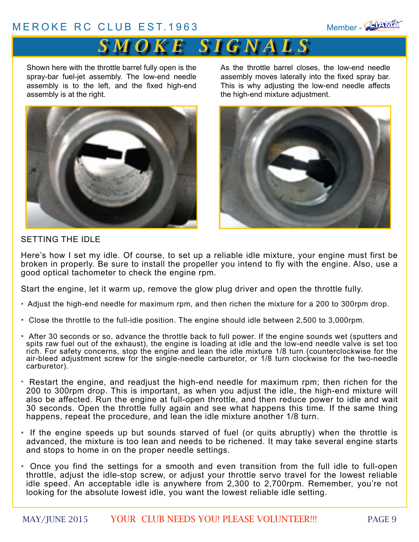#### [MEROKE RC CLUB](http://www.meroke.com) EST.1963 Member - **EVANXEN**



### $S$  *M O K E S I G N A L S*

Shown here with the throttle barrel fully open is the spray-bar fuel-jet assembly. The low-end needle assembly is to the left, and the fixed high-end assembly is at the right.



As the throttle barrel closes, the low-end needle assembly moves laterally into the fixed spray bar. This is why adjusting the low-end needle affects the high-end mixture adjustment.



#### SETTING THE IDLE

Here's how I set my idle. Of course, to set up a reliable idle mixture, your engine must first be broken in properly. Be sure to install the propeller you intend to fly with the engine. Also, use a good optical tachometer to check the engine rpm.

Start the engine, let it warm up, remove the glow plug driver and open the throttle fully.

- Adjust the high-end needle for maximum rpm, and then richen the mixture for a 200 to 300rpm drop.
- Close the throttle to the full-idle position. The engine should idle between 2,500 to 3,000rpm.
- After 30 seconds or so, advance the throttle back to full power. If the engine sounds wet (sputters and spits raw fuel out of the exhaust), the engine is loading at idle and the low-end needle valve is set too rich. For safety concerns, stop the engine and lean the idle mixture 1/8 turn (counterclockwise for the air-bleed adjustment screw for the single-needle carburetor, or 1/8 turn clockwise for the two-needle carburetor).
- Restart the engine, and readjust the high-end needle for maximum rpm; then richen for the 200 to 300rpm drop. This is important, as when you adjust the idle, the high-end mixture will also be affected. Run the engine at full-open throttle, and then reduce power to idle and wait 30 seconds. Open the throttle fully again and see what happens this time. If the same thing happens, repeat the procedure, and lean the idle mixture another 1/8 turn.
- If the engine speeds up but sounds starved of fuel (or quits abruptly) when the throttle is advanced, the mixture is too lean and needs to be richened. It may take several engine starts and stops to home in on the proper needle settings.
- Once you find the settings for a smooth and even transition from the full idle to full-open throttle, adjust the idle-stop screw, or adjust your throttle servo travel for the lowest reliable idle speed. An acceptable idle is anywhere from 2,300 to 2,700rpm. Remember, you're not looking for the absolute lowest idle, you want the lowest reliable idle setting.